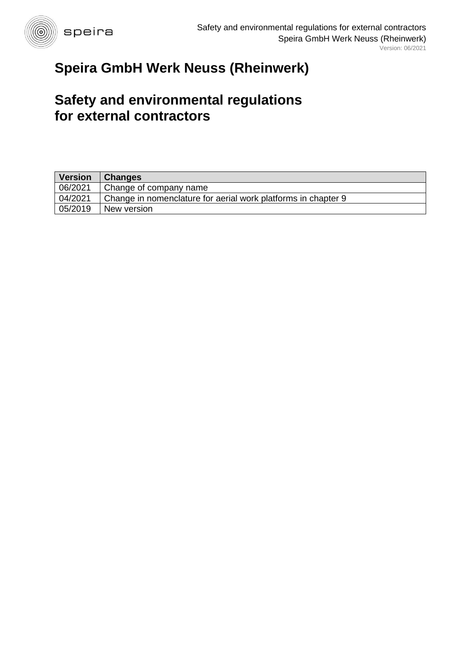

# **Speira GmbH Werk Neuss (Rheinwerk)**

# **Safety and environmental regulations for external contractors**

| <b>Version</b> | <b>Changes</b>                                                |
|----------------|---------------------------------------------------------------|
| 06/2021        | Change of company name                                        |
| 04/2021        | Change in nomenclature for aerial work platforms in chapter 9 |
| 05/2019        | New version                                                   |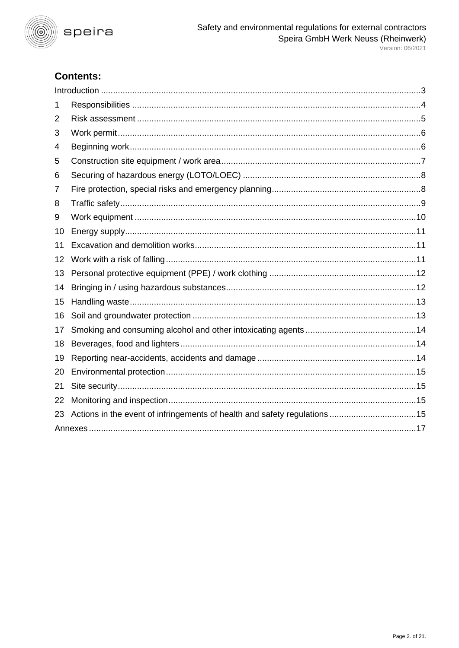

# **Contents:**

| 1  |  |  |  |
|----|--|--|--|
| 2  |  |  |  |
| 3  |  |  |  |
| 4  |  |  |  |
| 5  |  |  |  |
| 6  |  |  |  |
| 7  |  |  |  |
| 8  |  |  |  |
| 9  |  |  |  |
| 10 |  |  |  |
| 11 |  |  |  |
| 12 |  |  |  |
| 13 |  |  |  |
| 14 |  |  |  |
| 15 |  |  |  |
| 16 |  |  |  |
| 17 |  |  |  |
| 18 |  |  |  |
| 19 |  |  |  |
| 20 |  |  |  |
| 21 |  |  |  |
| 22 |  |  |  |
| 23 |  |  |  |
|    |  |  |  |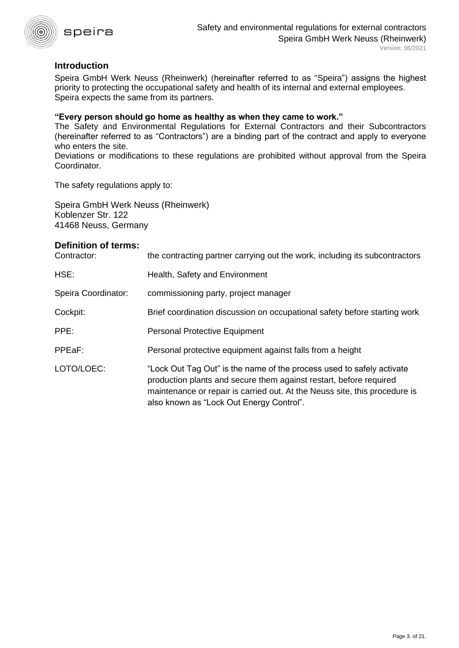

# <span id="page-2-0"></span>**Introduction**

Speira GmbH Werk Neuss (Rheinwerk) (hereinafter referred to as "Speira") assigns the highest priority to protecting the occupational safety and health of its internal and external employees. Speira expects the same from its partners.

#### **"Every person should go home as healthy as when they came to work."**

The Safety and Environmental Regulations for External Contractors and their Subcontractors (hereinafter referred to as "Contractors") are a binding part of the contract and apply to everyone who enters the site.

Deviations or modifications to these regulations are prohibited without approval from the Speira Coordinator.

The safety regulations apply to:

Speira GmbH Werk Neuss (Rheinwerk) Koblenzer Str. 122 41468 Neuss, Germany

#### **Definition of terms:**

| Contractor:         | the contracting partner carrying out the work, including its subcontractors                                                                                                                                                                                           |
|---------------------|-----------------------------------------------------------------------------------------------------------------------------------------------------------------------------------------------------------------------------------------------------------------------|
| HSE:                | Health, Safety and Environment                                                                                                                                                                                                                                        |
| Speira Coordinator: | commissioning party, project manager                                                                                                                                                                                                                                  |
| Cockpit:            | Brief coordination discussion on occupational safety before starting work                                                                                                                                                                                             |
| PPE:                | <b>Personal Protective Equipment</b>                                                                                                                                                                                                                                  |
| PPEaF:              | Personal protective equipment against falls from a height                                                                                                                                                                                                             |
| LOTO/LOEC:          | "Lock Out Tag Out" is the name of the process used to safely activate<br>production plants and secure them against restart, before required<br>maintenance or repair is carried out. At the Neuss site, this procedure is<br>also known as "Lock Out Energy Control". |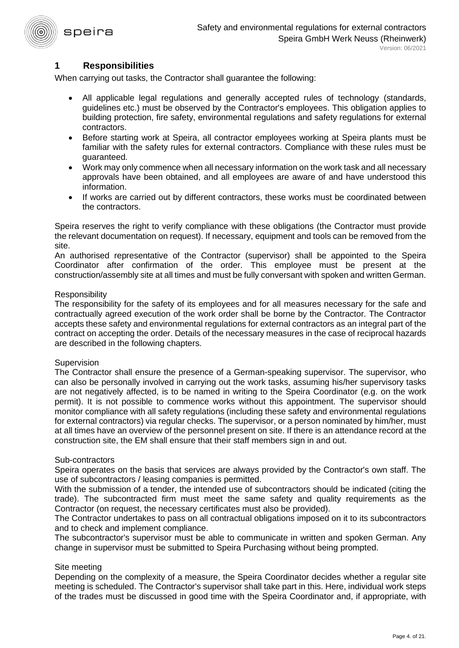

## <span id="page-3-0"></span>**1 Responsibilities**

When carrying out tasks, the Contractor shall guarantee the following:

- All applicable legal regulations and generally accepted rules of technology (standards, guidelines etc.) must be observed by the Contractor's employees. This obligation applies to building protection, fire safety, environmental regulations and safety regulations for external contractors.
- Before starting work at Speira, all contractor employees working at Speira plants must be familiar with the safety rules for external contractors. Compliance with these rules must be guaranteed.
- Work may only commence when all necessary information on the work task and all necessary approvals have been obtained, and all employees are aware of and have understood this information.
- If works are carried out by different contractors, these works must be coordinated between the contractors.

Speira reserves the right to verify compliance with these obligations (the Contractor must provide the relevant documentation on request). If necessary, equipment and tools can be removed from the site.

An authorised representative of the Contractor (supervisor) shall be appointed to the Speira Coordinator after confirmation of the order. This employee must be present at the construction/assembly site at all times and must be fully conversant with spoken and written German.

#### **Responsibility**

The responsibility for the safety of its employees and for all measures necessary for the safe and contractually agreed execution of the work order shall be borne by the Contractor. The Contractor accepts these safety and environmental regulations for external contractors as an integral part of the contract on accepting the order. Details of the necessary measures in the case of reciprocal hazards are described in the following chapters.

#### **Supervision**

The Contractor shall ensure the presence of a German-speaking supervisor. The supervisor, who can also be personally involved in carrying out the work tasks, assuming his/her supervisory tasks are not negatively affected, is to be named in writing to the Speira Coordinator (e.g. on the work permit). It is not possible to commence works without this appointment. The supervisor should monitor compliance with all safety regulations (including these safety and environmental regulations for external contractors) via regular checks. The supervisor, or a person nominated by him/her, must at all times have an overview of the personnel present on site. If there is an attendance record at the construction site, the EM shall ensure that their staff members sign in and out.

#### Sub-contractors

Speira operates on the basis that services are always provided by the Contractor's own staff. The use of subcontractors / leasing companies is permitted.

With the submission of a tender, the intended use of subcontractors should be indicated (citing the trade). The subcontracted firm must meet the same safety and quality requirements as the Contractor (on request, the necessary certificates must also be provided).

The Contractor undertakes to pass on all contractual obligations imposed on it to its subcontractors and to check and implement compliance.

The subcontractor's supervisor must be able to communicate in written and spoken German. Any change in supervisor must be submitted to Speira Purchasing without being prompted.

#### Site meeting

Depending on the complexity of a measure, the Speira Coordinator decides whether a regular site meeting is scheduled. The Contractor's supervisor shall take part in this. Here, individual work steps of the trades must be discussed in good time with the Speira Coordinator and, if appropriate, with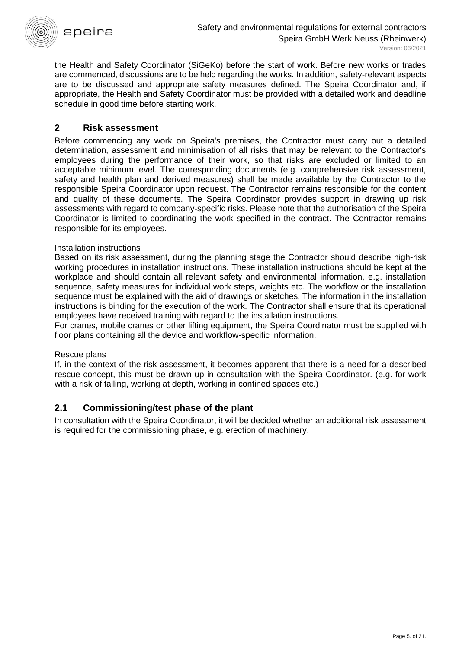

the Health and Safety Coordinator (SiGeKo) before the start of work. Before new works or trades are commenced, discussions are to be held regarding the works. In addition, safety-relevant aspects are to be discussed and appropriate safety measures defined. The Speira Coordinator and, if appropriate, the Health and Safety Coordinator must be provided with a detailed work and deadline schedule in good time before starting work.

# <span id="page-4-0"></span>**2 Risk assessment**

Before commencing any work on Speira's premises, the Contractor must carry out a detailed determination, assessment and minimisation of all risks that may be relevant to the Contractor's employees during the performance of their work, so that risks are excluded or limited to an acceptable minimum level. The corresponding documents (e.g. comprehensive risk assessment, safety and health plan and derived measures) shall be made available by the Contractor to the responsible Speira Coordinator upon request. The Contractor remains responsible for the content and quality of these documents. The Speira Coordinator provides support in drawing up risk assessments with regard to company-specific risks. Please note that the authorisation of the Speira Coordinator is limited to coordinating the work specified in the contract. The Contractor remains responsible for its employees.

#### Installation instructions

Based on its risk assessment, during the planning stage the Contractor should describe high-risk working procedures in installation instructions. These installation instructions should be kept at the workplace and should contain all relevant safety and environmental information, e.g. installation sequence, safety measures for individual work steps, weights etc. The workflow or the installation sequence must be explained with the aid of drawings or sketches. The information in the installation instructions is binding for the execution of the work. The Contractor shall ensure that its operational employees have received training with regard to the installation instructions.

For cranes, mobile cranes or other lifting equipment, the Speira Coordinator must be supplied with floor plans containing all the device and workflow-specific information.

#### Rescue plans

If, in the context of the risk assessment, it becomes apparent that there is a need for a described rescue concept, this must be drawn up in consultation with the Speira Coordinator. (e.g. for work with a risk of falling, working at depth, working in confined spaces etc.)

# **2.1 Commissioning/test phase of the plant**

In consultation with the Speira Coordinator, it will be decided whether an additional risk assessment is required for the commissioning phase, e.g. erection of machinery.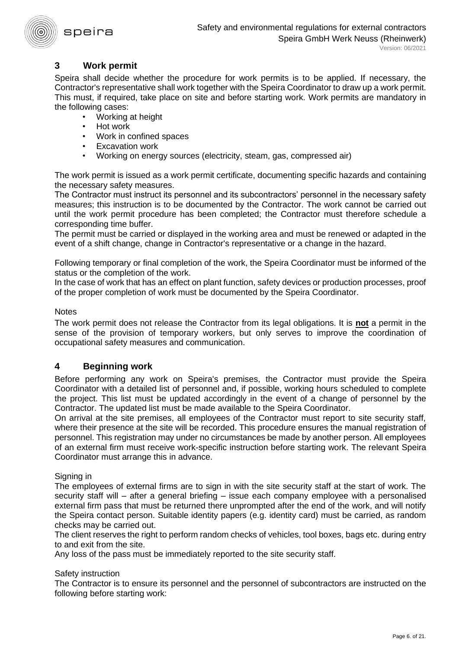

# <span id="page-5-0"></span>**3 Work permit**

Speira shall decide whether the procedure for work permits is to be applied. If necessary, the Contractor's representative shall work together with the Speira Coordinator to draw up a work permit. This must, if required, take place on site and before starting work. Work permits are mandatory in the following cases:

- Working at height
- Hot work
- Work in confined spaces
- Excavation work
- Working on energy sources (electricity, steam, gas, compressed air)

The work permit is issued as a work permit certificate, documenting specific hazards and containing the necessary safety measures.

The Contractor must instruct its personnel and its subcontractors' personnel in the necessary safety measures; this instruction is to be documented by the Contractor. The work cannot be carried out until the work permit procedure has been completed; the Contractor must therefore schedule a corresponding time buffer.

The permit must be carried or displayed in the working area and must be renewed or adapted in the event of a shift change, change in Contractor's representative or a change in the hazard.

Following temporary or final completion of the work, the Speira Coordinator must be informed of the status or the completion of the work.

In the case of work that has an effect on plant function, safety devices or production processes, proof of the proper completion of work must be documented by the Speira Coordinator.

#### **Notes**

The work permit does not release the Contractor from its legal obligations. It is **not** a permit in the sense of the provision of temporary workers, but only serves to improve the coordination of occupational safety measures and communication.

#### <span id="page-5-1"></span>**4 Beginning work**

Before performing any work on Speira's premises, the Contractor must provide the Speira Coordinator with a detailed list of personnel and, if possible, working hours scheduled to complete the project. This list must be updated accordingly in the event of a change of personnel by the Contractor. The updated list must be made available to the Speira Coordinator.

On arrival at the site premises, all employees of the Contractor must report to site security staff, where their presence at the site will be recorded. This procedure ensures the manual registration of personnel. This registration may under no circumstances be made by another person. All employees of an external firm must receive work-specific instruction before starting work. The relevant Speira Coordinator must arrange this in advance.

Signing in

The employees of external firms are to sign in with the site security staff at the start of work. The security staff will – after a general briefing – issue each company employee with a personalised external firm pass that must be returned there unprompted after the end of the work, and will notify the Speira contact person. Suitable identity papers (e.g. identity card) must be carried, as random checks may be carried out.

The client reserves the right to perform random checks of vehicles, tool boxes, bags etc. during entry to and exit from the site.

Any loss of the pass must be immediately reported to the site security staff.

#### Safety instruction

The Contractor is to ensure its personnel and the personnel of subcontractors are instructed on the following before starting work: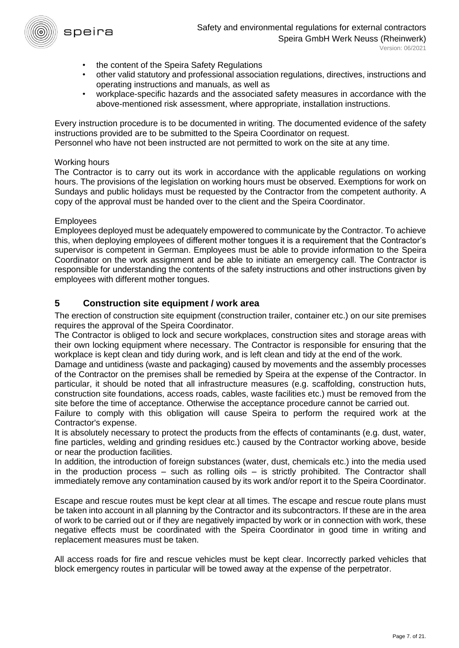

- the content of the Speira Safety Regulations
- other valid statutory and professional association regulations, directives, instructions and operating instructions and manuals, as well as
- workplace-specific hazards and the associated safety measures in accordance with the above-mentioned risk assessment, where appropriate, installation instructions.

Every instruction procedure is to be documented in writing. The documented evidence of the safety instructions provided are to be submitted to the Speira Coordinator on request.

Personnel who have not been instructed are not permitted to work on the site at any time.

#### Working hours

The Contractor is to carry out its work in accordance with the applicable regulations on working hours. The provisions of the legislation on working hours must be observed. Exemptions for work on Sundays and public holidays must be requested by the Contractor from the competent authority. A copy of the approval must be handed over to the client and the Speira Coordinator.

#### Employees

Employees deployed must be adequately empowered to communicate by the Contractor. To achieve this, when deploying employees of different mother tongues it is a requirement that the Contractor's supervisor is competent in German. Employees must be able to provide information to the Speira Coordinator on the work assignment and be able to initiate an emergency call. The Contractor is responsible for understanding the contents of the safety instructions and other instructions given by employees with different mother tongues.

## <span id="page-6-0"></span>**5 Construction site equipment / work area**

The erection of construction site equipment (construction trailer, container etc.) on our site premises requires the approval of the Speira Coordinator.

The Contractor is obliged to lock and secure workplaces, construction sites and storage areas with their own locking equipment where necessary. The Contractor is responsible for ensuring that the workplace is kept clean and tidy during work, and is left clean and tidy at the end of the work.

Damage and untidiness (waste and packaging) caused by movements and the assembly processes of the Contractor on the premises shall be remedied by Speira at the expense of the Contractor. In particular, it should be noted that all infrastructure measures (e.g. scaffolding, construction huts, construction site foundations, access roads, cables, waste facilities etc.) must be removed from the site before the time of acceptance. Otherwise the acceptance procedure cannot be carried out.

Failure to comply with this obligation will cause Speira to perform the required work at the Contractor's expense.

It is absolutely necessary to protect the products from the effects of contaminants (e.g. dust, water, fine particles, welding and grinding residues etc.) caused by the Contractor working above, beside or near the production facilities.

In addition, the introduction of foreign substances (water, dust, chemicals etc.) into the media used in the production process  $-$  such as rolling oils  $-$  is strictly prohibited. The Contractor shall immediately remove any contamination caused by its work and/or report it to the Speira Coordinator.

Escape and rescue routes must be kept clear at all times. The escape and rescue route plans must be taken into account in all planning by the Contractor and its subcontractors. If these are in the area of work to be carried out or if they are negatively impacted by work or in connection with work, these negative effects must be coordinated with the Speira Coordinator in good time in writing and replacement measures must be taken.

All access roads for fire and rescue vehicles must be kept clear. Incorrectly parked vehicles that block emergency routes in particular will be towed away at the expense of the perpetrator.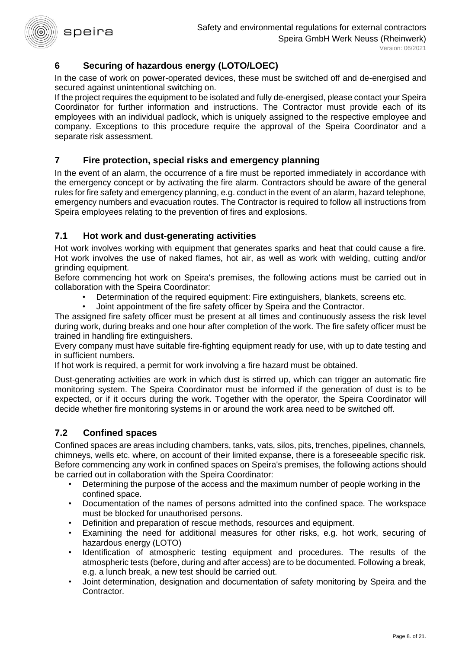# <span id="page-7-0"></span>**6 Securing of hazardous energy (LOTO/LOEC)**

In the case of work on power-operated devices, these must be switched off and de-energised and secured against unintentional switching on.

If the project requires the equipment to be isolated and fully de-energised, please contact your Speira Coordinator for further information and instructions. The Contractor must provide each of its employees with an individual padlock, which is uniquely assigned to the respective employee and company. Exceptions to this procedure require the approval of the Speira Coordinator and a separate risk assessment.

# <span id="page-7-1"></span>**7 Fire protection, special risks and emergency planning**

In the event of an alarm, the occurrence of a fire must be reported immediately in accordance with the emergency concept or by activating the fire alarm. Contractors should be aware of the general rules for fire safety and emergency planning, e.g. conduct in the event of an alarm, hazard telephone, emergency numbers and evacuation routes. The Contractor is required to follow all instructions from Speira employees relating to the prevention of fires and explosions.

# **7.1 Hot work and dust-generating activities**

Hot work involves working with equipment that generates sparks and heat that could cause a fire. Hot work involves the use of naked flames, hot air, as well as work with welding, cutting and/or grinding equipment.

Before commencing hot work on Speira's premises, the following actions must be carried out in collaboration with the Speira Coordinator:

- Determination of the required equipment: Fire extinguishers, blankets, screens etc.
- Joint appointment of the fire safety officer by Speira and the Contractor.

The assigned fire safety officer must be present at all times and continuously assess the risk level during work, during breaks and one hour after completion of the work. The fire safety officer must be trained in handling fire extinguishers.

Every company must have suitable fire-fighting equipment ready for use, with up to date testing and in sufficient numbers.

If hot work is required, a permit for work involving a fire hazard must be obtained.

Dust-generating activities are work in which dust is stirred up, which can trigger an automatic fire monitoring system. The Speira Coordinator must be informed if the generation of dust is to be expected, or if it occurs during the work. Together with the operator, the Speira Coordinator will decide whether fire monitoring systems in or around the work area need to be switched off.

# **7.2 Confined spaces**

Confined spaces are areas including chambers, tanks, vats, silos, pits, trenches, pipelines, channels, chimneys, wells etc. where, on account of their limited expanse, there is a foreseeable specific risk. Before commencing any work in confined spaces on Speira's premises, the following actions should be carried out in collaboration with the Speira Coordinator:

- Determining the purpose of the access and the maximum number of people working in the confined space.
- Documentation of the names of persons admitted into the confined space. The workspace must be blocked for unauthorised persons.
- Definition and preparation of rescue methods, resources and equipment.
- Examining the need for additional measures for other risks, e.g. hot work, securing of hazardous energy (LOTO)
- Identification of atmospheric testing equipment and procedures. The results of the atmospheric tests (before, during and after access) are to be documented. Following a break, e.g. a lunch break, a new test should be carried out.
- Joint determination, designation and documentation of safety monitoring by Speira and the Contractor.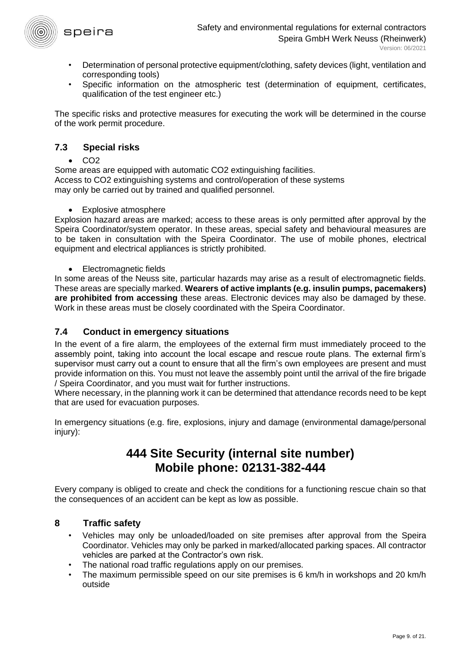

- Determination of personal protective equipment/clothing, safety devices (light, ventilation and corresponding tools)
- Specific information on the atmospheric test (determination of equipment, certificates, qualification of the test engineer etc.)

The specific risks and protective measures for executing the work will be determined in the course of the work permit procedure.

# **7.3 Special risks**

 $\cdot$  CO<sub>2</sub>

Some areas are equipped with automatic CO2 extinguishing facilities. Access to CO2 extinguishing systems and control/operation of these systems may only be carried out by trained and qualified personnel.

• Explosive atmosphere

Explosion hazard areas are marked; access to these areas is only permitted after approval by the Speira Coordinator/system operator. In these areas, special safety and behavioural measures are to be taken in consultation with the Speira Coordinator. The use of mobile phones, electrical equipment and electrical appliances is strictly prohibited.

• Electromagnetic fields

In some areas of the Neuss site, particular hazards may arise as a result of electromagnetic fields. These areas are specially marked. **Wearers of active implants (e.g. insulin pumps, pacemakers) are prohibited from accessing** these areas. Electronic devices may also be damaged by these. Work in these areas must be closely coordinated with the Speira Coordinator.

# **7.4 Conduct in emergency situations**

In the event of a fire alarm, the employees of the external firm must immediately proceed to the assembly point, taking into account the local escape and rescue route plans. The external firm's supervisor must carry out a count to ensure that all the firm's own employees are present and must provide information on this. You must not leave the assembly point until the arrival of the fire brigade / Speira Coordinator, and you must wait for further instructions.

Where necessary, in the planning work it can be determined that attendance records need to be kept that are used for evacuation purposes.

In emergency situations (e.g. fire, explosions, injury and damage (environmental damage/personal injury):

# **444 Site Security (internal site number) Mobile phone: 02131-382-444**

Every company is obliged to create and check the conditions for a functioning rescue chain so that the consequences of an accident can be kept as low as possible.

# <span id="page-8-0"></span>**8 Traffic safety**

- Vehicles may only be unloaded/loaded on site premises after approval from the Speira Coordinator. Vehicles may only be parked in marked/allocated parking spaces. All contractor vehicles are parked at the Contractor's own risk.
- The national road traffic regulations apply on our premises.
- The maximum permissible speed on our site premises is 6 km/h in workshops and 20 km/h outside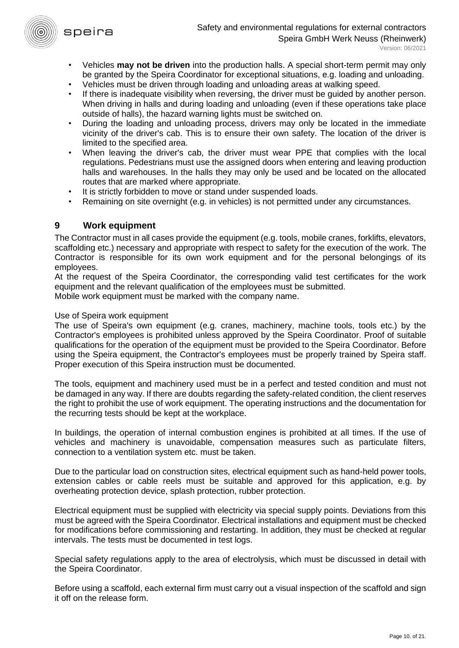

- Vehicles **may not be driven** into the production halls. A special short-term permit may only be granted by the Speira Coordinator for exceptional situations, e.g. loading and unloading.
- Vehicles must be driven through loading and unloading areas at walking speed.
- If there is inadequate visibility when reversing, the driver must be guided by another person. When driving in halls and during loading and unloading (even if these operations take place outside of halls), the hazard warning lights must be switched on.
- During the loading and unloading process, drivers may only be located in the immediate vicinity of the driver's cab. This is to ensure their own safety. The location of the driver is limited to the specified area.
- When leaving the driver's cab, the driver must wear PPE that complies with the local regulations. Pedestrians must use the assigned doors when entering and leaving production halls and warehouses. In the halls they may only be used and be located on the allocated routes that are marked where appropriate.
- It is strictly forbidden to move or stand under suspended loads.
- Remaining on site overnight (e.g. in vehicles) is not permitted under any circumstances.

# <span id="page-9-0"></span>**9 Work equipment**

The Contractor must in all cases provide the equipment (e.g. tools, mobile cranes, forklifts, elevators, scaffolding etc.) necessary and appropriate with respect to safety for the execution of the work. The Contractor is responsible for its own work equipment and for the personal belongings of its employees.

At the request of the Speira Coordinator, the corresponding valid test certificates for the work equipment and the relevant qualification of the employees must be submitted.

Mobile work equipment must be marked with the company name.

#### Use of Speira work equipment

The use of Speira's own equipment (e.g. cranes, machinery, machine tools, tools etc.) by the Contractor's employees is prohibited unless approved by the Speira Coordinator. Proof of suitable qualifications for the operation of the equipment must be provided to the Speira Coordinator. Before using the Speira equipment, the Contractor's employees must be properly trained by Speira staff. Proper execution of this Speira instruction must be documented.

The tools, equipment and machinery used must be in a perfect and tested condition and must not be damaged in any way. If there are doubts regarding the safety-related condition, the client reserves the right to prohibit the use of work equipment. The operating instructions and the documentation for the recurring tests should be kept at the workplace.

In buildings, the operation of internal combustion engines is prohibited at all times. If the use of vehicles and machinery is unavoidable, compensation measures such as particulate filters, connection to a ventilation system etc. must be taken.

Due to the particular load on construction sites, electrical equipment such as hand-held power tools, extension cables or cable reels must be suitable and approved for this application, e.g. by overheating protection device, splash protection, rubber protection.

Electrical equipment must be supplied with electricity via special supply points. Deviations from this must be agreed with the Speira Coordinator. Electrical installations and equipment must be checked for modifications before commissioning and restarting. In addition, they must be checked at regular intervals. The tests must be documented in test logs.

Special safety regulations apply to the area of electrolysis, which must be discussed in detail with the Speira Coordinator.

Before using a scaffold, each external firm must carry out a visual inspection of the scaffold and sign it off on the release form.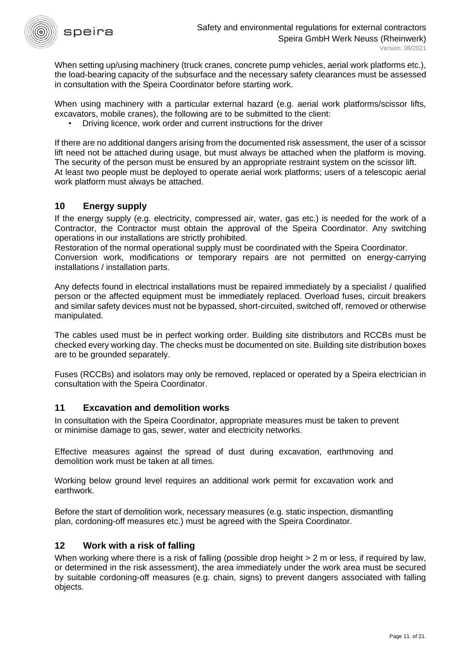

When setting up/using machinery (truck cranes, concrete pump vehicles, aerial work platforms etc.), the load-bearing capacity of the subsurface and the necessary safety clearances must be assessed in consultation with the Speira Coordinator before starting work.

When using machinery with a particular external hazard (e.g. aerial work platforms/scissor lifts, excavators, mobile cranes), the following are to be submitted to the client:

• Driving licence, work order and current instructions for the driver

If there are no additional dangers arising from the documented risk assessment, the user of a scissor lift need not be attached during usage, but must always be attached when the platform is moving. The security of the person must be ensured by an appropriate restraint system on the scissor lift. At least two people must be deployed to operate aerial work platforms; users of a telescopic aerial work platform must always be attached.

## <span id="page-10-0"></span>**10 Energy supply**

If the energy supply (e.g. electricity, compressed air, water, gas etc.) is needed for the work of a Contractor, the Contractor must obtain the approval of the Speira Coordinator. Any switching operations in our installations are strictly prohibited.

Restoration of the normal operational supply must be coordinated with the Speira Coordinator.

Conversion work, modifications or temporary repairs are not permitted on energy-carrying installations / installation parts.

Any defects found in electrical installations must be repaired immediately by a specialist / qualified person or the affected equipment must be immediately replaced. Overload fuses, circuit breakers and similar safety devices must not be bypassed, short-circuited, switched off, removed or otherwise manipulated.

The cables used must be in perfect working order. Building site distributors and RCCBs must be checked every working day. The checks must be documented on site. Building site distribution boxes are to be grounded separately.

Fuses (RCCBs) and isolators may only be removed, replaced or operated by a Speira electrician in consultation with the Speira Coordinator.

#### <span id="page-10-1"></span>**11 Excavation and demolition works**

In consultation with the Speira Coordinator, appropriate measures must be taken to prevent or minimise damage to gas, sewer, water and electricity networks.

Effective measures against the spread of dust during excavation, earthmoving and demolition work must be taken at all times.

Working below ground level requires an additional work permit for excavation work and earthwork.

Before the start of demolition work, necessary measures (e.g. static inspection, dismantling plan, cordoning-off measures etc.) must be agreed with the Speira Coordinator.

#### <span id="page-10-2"></span>**12 Work with a risk of falling**

When working where there is a risk of falling (possible drop height > 2 m or less, if required by law, or determined in the risk assessment), the area immediately under the work area must be secured by suitable cordoning-off measures (e.g. chain, signs) to prevent dangers associated with falling objects.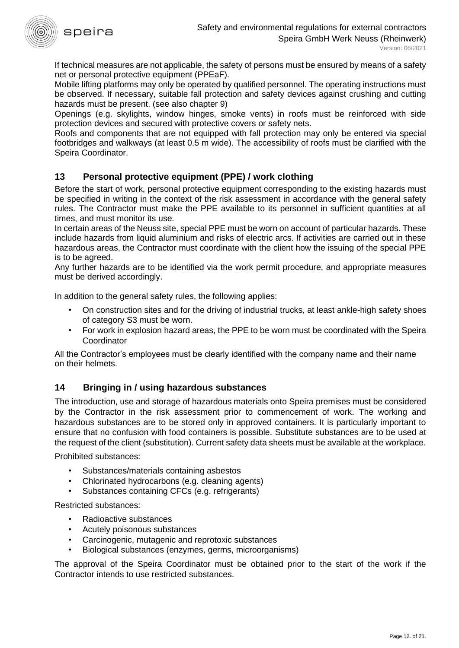

If technical measures are not applicable, the safety of persons must be ensured by means of a safety net or personal protective equipment (PPEaF).

Mobile lifting platforms may only be operated by qualified personnel. The operating instructions must be observed. If necessary, suitable fall protection and safety devices against crushing and cutting hazards must be present. (see also chapter 9)

Openings (e.g. skylights, window hinges, smoke vents) in roofs must be reinforced with side protection devices and secured with protective covers or safety nets.

Roofs and components that are not equipped with fall protection may only be entered via special footbridges and walkways (at least 0.5 m wide). The accessibility of roofs must be clarified with the Speira Coordinator.

# <span id="page-11-0"></span>**13 Personal protective equipment (PPE) / work clothing**

Before the start of work, personal protective equipment corresponding to the existing hazards must be specified in writing in the context of the risk assessment in accordance with the general safety rules. The Contractor must make the PPE available to its personnel in sufficient quantities at all times, and must monitor its use.

In certain areas of the Neuss site, special PPE must be worn on account of particular hazards. These include hazards from liquid aluminium and risks of electric arcs. If activities are carried out in these hazardous areas, the Contractor must coordinate with the client how the issuing of the special PPE is to be agreed.

Any further hazards are to be identified via the work permit procedure, and appropriate measures must be derived accordingly.

In addition to the general safety rules, the following applies:

- On construction sites and for the driving of industrial trucks, at least ankle-high safety shoes of category S3 must be worn.
- For work in explosion hazard areas, the PPE to be worn must be coordinated with the Speira **Coordinator**

All the Contractor's employees must be clearly identified with the company name and their name on their helmets.

# <span id="page-11-1"></span>**14 Bringing in / using hazardous substances**

The introduction, use and storage of hazardous materials onto Speira premises must be considered by the Contractor in the risk assessment prior to commencement of work. The working and hazardous substances are to be stored only in approved containers. It is particularly important to ensure that no confusion with food containers is possible. Substitute substances are to be used at the request of the client (substitution). Current safety data sheets must be available at the workplace.

Prohibited substances:

- Substances/materials containing asbestos
- Chlorinated hydrocarbons (e.g. cleaning agents)
- Substances containing CFCs (e.g. refrigerants)

Restricted substances:

- Radioactive substances
- Acutely poisonous substances
- Carcinogenic, mutagenic and reprotoxic substances
- Biological substances (enzymes, germs, microorganisms)

The approval of the Speira Coordinator must be obtained prior to the start of the work if the Contractor intends to use restricted substances.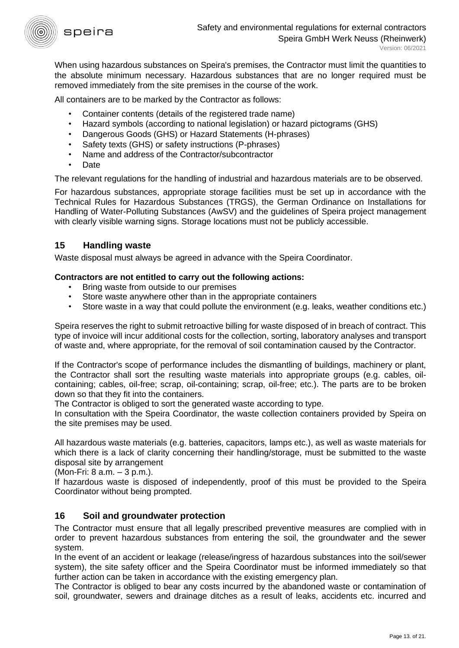

When using hazardous substances on Speira's premises, the Contractor must limit the quantities to the absolute minimum necessary. Hazardous substances that are no longer required must be removed immediately from the site premises in the course of the work.

All containers are to be marked by the Contractor as follows:

- Container contents (details of the registered trade name)
- Hazard symbols (according to national legislation) or hazard pictograms (GHS)
- Dangerous Goods (GHS) or Hazard Statements (H-phrases)
- Safety texts (GHS) or safety instructions (P-phrases)
- Name and address of the Contractor/subcontractor
- Date

The relevant regulations for the handling of industrial and hazardous materials are to be observed.

For hazardous substances, appropriate storage facilities must be set up in accordance with the Technical Rules for Hazardous Substances (TRGS), the German Ordinance on Installations for Handling of Water-Polluting Substances (AwSV) and the guidelines of Speira project management with clearly visible warning signs. Storage locations must not be publicly accessible.

## <span id="page-12-0"></span>**15 Handling waste**

Waste disposal must always be agreed in advance with the Speira Coordinator.

#### **Contractors are not entitled to carry out the following actions:**

- Bring waste from outside to our premises
- Store waste anywhere other than in the appropriate containers
- Store waste in a way that could pollute the environment (e.g. leaks, weather conditions etc.)

Speira reserves the right to submit retroactive billing for waste disposed of in breach of contract. This type of invoice will incur additional costs for the collection, sorting, laboratory analyses and transport of waste and, where appropriate, for the removal of soil contamination caused by the Contractor.

If the Contractor's scope of performance includes the dismantling of buildings, machinery or plant, the Contractor shall sort the resulting waste materials into appropriate groups (e.g. cables, oilcontaining; cables, oil-free; scrap, oil-containing; scrap, oil-free; etc.). The parts are to be broken down so that they fit into the containers.

The Contractor is obliged to sort the generated waste according to type.

In consultation with the Speira Coordinator, the waste collection containers provided by Speira on the site premises may be used.

All hazardous waste materials (e.g. batteries, capacitors, lamps etc.), as well as waste materials for which there is a lack of clarity concerning their handling/storage, must be submitted to the waste disposal site by arrangement

(Mon-Fri: 8 a.m. – 3 p.m.).

If hazardous waste is disposed of independently, proof of this must be provided to the Speira Coordinator without being prompted.

# <span id="page-12-1"></span>**16 Soil and groundwater protection**

The Contractor must ensure that all legally prescribed preventive measures are complied with in order to prevent hazardous substances from entering the soil, the groundwater and the sewer system.

In the event of an accident or leakage (release/ingress of hazardous substances into the soil/sewer system), the site safety officer and the Speira Coordinator must be informed immediately so that further action can be taken in accordance with the existing emergency plan.

The Contractor is obliged to bear any costs incurred by the abandoned waste or contamination of soil, groundwater, sewers and drainage ditches as a result of leaks, accidents etc. incurred and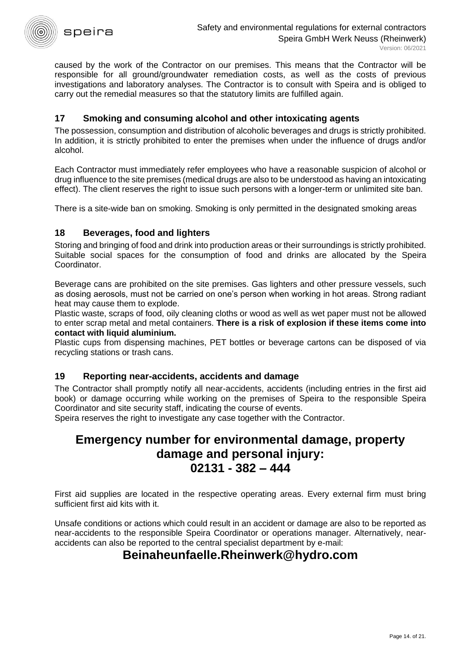

caused by the work of the Contractor on our premises. This means that the Contractor will be responsible for all ground/groundwater remediation costs, as well as the costs of previous investigations and laboratory analyses. The Contractor is to consult with Speira and is obliged to carry out the remedial measures so that the statutory limits are fulfilled again.

# <span id="page-13-0"></span>**17 Smoking and consuming alcohol and other intoxicating agents**

The possession, consumption and distribution of alcoholic beverages and drugs is strictly prohibited. In addition, it is strictly prohibited to enter the premises when under the influence of drugs and/or alcohol.

Each Contractor must immediately refer employees who have a reasonable suspicion of alcohol or drug influence to the site premises (medical drugs are also to be understood as having an intoxicating effect). The client reserves the right to issue such persons with a longer-term or unlimited site ban.

<span id="page-13-1"></span>There is a site-wide ban on smoking. Smoking is only permitted in the designated smoking areas

## **18 Beverages, food and lighters**

Storing and bringing of food and drink into production areas or their surroundings is strictly prohibited. Suitable social spaces for the consumption of food and drinks are allocated by the Speira Coordinator.

Beverage cans are prohibited on the site premises. Gas lighters and other pressure vessels, such as dosing aerosols, must not be carried on one's person when working in hot areas. Strong radiant heat may cause them to explode.

Plastic waste, scraps of food, oily cleaning cloths or wood as well as wet paper must not be allowed to enter scrap metal and metal containers. **There is a risk of explosion if these items come into contact with liquid aluminium.**

Plastic cups from dispensing machines, PET bottles or beverage cartons can be disposed of via recycling stations or trash cans.

#### <span id="page-13-2"></span>**19 Reporting near-accidents, accidents and damage**

The Contractor shall promptly notify all near-accidents, accidents (including entries in the first aid book) or damage occurring while working on the premises of Speira to the responsible Speira Coordinator and site security staff, indicating the course of events.

Speira reserves the right to investigate any case together with the Contractor.

# **Emergency number for environmental damage, property damage and personal injury: 02131 - 382 – 444**

First aid supplies are located in the respective operating areas. Every external firm must bring sufficient first aid kits with it.

Unsafe conditions or actions which could result in an accident or damage are also to be reported as near-accidents to the responsible Speira Coordinator or operations manager. Alternatively, nearaccidents can also be reported to the central specialist department by e-mail:

# **Beinaheunfaelle.Rheinwerk@hydro.com**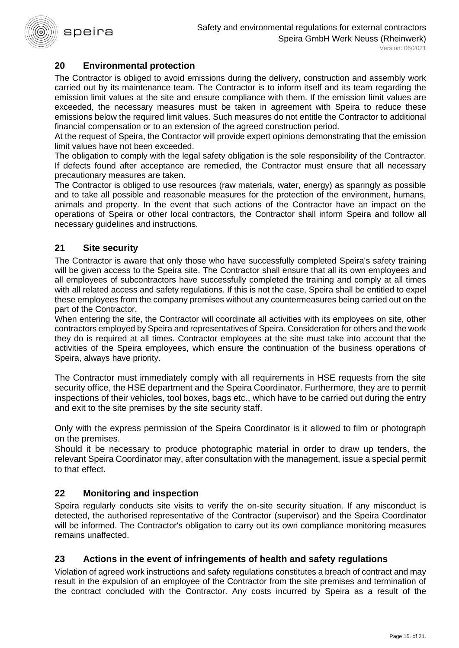

# <span id="page-14-0"></span>**20 Environmental protection**

The Contractor is obliged to avoid emissions during the delivery, construction and assembly work carried out by its maintenance team. The Contractor is to inform itself and its team regarding the emission limit values at the site and ensure compliance with them. If the emission limit values are exceeded, the necessary measures must be taken in agreement with Speira to reduce these emissions below the required limit values. Such measures do not entitle the Contractor to additional financial compensation or to an extension of the agreed construction period.

At the request of Speira, the Contractor will provide expert opinions demonstrating that the emission limit values have not been exceeded.

The obligation to comply with the legal safety obligation is the sole responsibility of the Contractor. If defects found after acceptance are remedied, the Contractor must ensure that all necessary precautionary measures are taken.

The Contractor is obliged to use resources (raw materials, water, energy) as sparingly as possible and to take all possible and reasonable measures for the protection of the environment, humans, animals and property. In the event that such actions of the Contractor have an impact on the operations of Speira or other local contractors, the Contractor shall inform Speira and follow all necessary guidelines and instructions.

## <span id="page-14-1"></span>**21 Site security**

The Contractor is aware that only those who have successfully completed Speira's safety training will be given access to the Speira site. The Contractor shall ensure that all its own employees and all employees of subcontractors have successfully completed the training and comply at all times with all related access and safety regulations. If this is not the case, Speira shall be entitled to expel these employees from the company premises without any countermeasures being carried out on the part of the Contractor.

When entering the site, the Contractor will coordinate all activities with its employees on site, other contractors employed by Speira and representatives of Speira. Consideration for others and the work they do is required at all times. Contractor employees at the site must take into account that the activities of the Speira employees, which ensure the continuation of the business operations of Speira, always have priority.

The Contractor must immediately comply with all requirements in HSE requests from the site security office, the HSE department and the Speira Coordinator. Furthermore, they are to permit inspections of their vehicles, tool boxes, bags etc., which have to be carried out during the entry and exit to the site premises by the site security staff.

Only with the express permission of the Speira Coordinator is it allowed to film or photograph on the premises.

Should it be necessary to produce photographic material in order to draw up tenders, the relevant Speira Coordinator may, after consultation with the management, issue a special permit to that effect.

# <span id="page-14-2"></span>**22 Monitoring and inspection**

Speira regularly conducts site visits to verify the on-site security situation. If any misconduct is detected, the authorised representative of the Contractor (supervisor) and the Speira Coordinator will be informed. The Contractor's obligation to carry out its own compliance monitoring measures remains unaffected.

# <span id="page-14-3"></span>**23 Actions in the event of infringements of health and safety regulations**

Violation of agreed work instructions and safety regulations constitutes a breach of contract and may result in the expulsion of an employee of the Contractor from the site premises and termination of the contract concluded with the Contractor. Any costs incurred by Speira as a result of the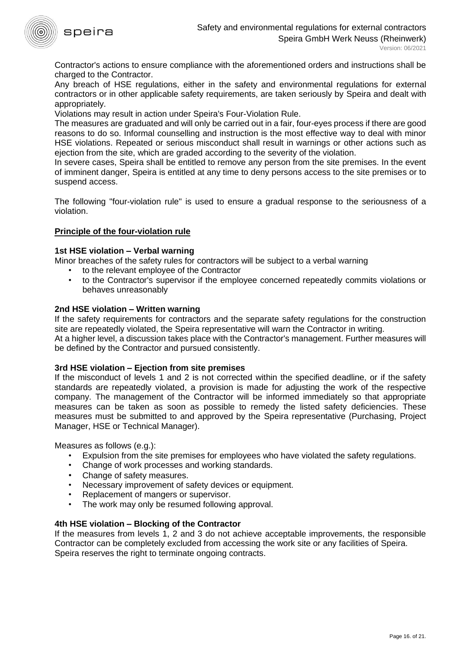

Contractor's actions to ensure compliance with the aforementioned orders and instructions shall be charged to the Contractor.

Any breach of HSE regulations, either in the safety and environmental regulations for external contractors or in other applicable safety requirements, are taken seriously by Speira and dealt with appropriately.

Violations may result in action under Speira's Four-Violation Rule.

The measures are graduated and will only be carried out in a fair, four-eyes process if there are good reasons to do so. Informal counselling and instruction is the most effective way to deal with minor HSE violations. Repeated or serious misconduct shall result in warnings or other actions such as ejection from the site, which are graded according to the severity of the violation.

In severe cases, Speira shall be entitled to remove any person from the site premises. In the event of imminent danger, Speira is entitled at any time to deny persons access to the site premises or to suspend access.

The following "four-violation rule" is used to ensure a gradual response to the seriousness of a violation.

#### **Principle of the four-violation rule**

#### **1st HSE violation – Verbal warning**

Minor breaches of the safety rules for contractors will be subject to a verbal warning

- to the relevant employee of the Contractor
- to the Contractor's supervisor if the employee concerned repeatedly commits violations or behaves unreasonably

#### **2nd HSE violation – Written warning**

If the safety requirements for contractors and the separate safety regulations for the construction site are repeatedly violated, the Speira representative will warn the Contractor in writing. At a higher level, a discussion takes place with the Contractor's management. Further measures will be defined by the Contractor and pursued consistently.

#### **3rd HSE violation – Ejection from site premises**

If the misconduct of levels 1 and 2 is not corrected within the specified deadline, or if the safety standards are repeatedly violated, a provision is made for adjusting the work of the respective company. The management of the Contractor will be informed immediately so that appropriate measures can be taken as soon as possible to remedy the listed safety deficiencies. These measures must be submitted to and approved by the Speira representative (Purchasing, Project Manager, HSE or Technical Manager).

Measures as follows (e.g.):

- Expulsion from the site premises for employees who have violated the safety regulations.
- Change of work processes and working standards.
- Change of safety measures.
- Necessary improvement of safety devices or equipment.
- Replacement of mangers or supervisor.
- The work may only be resumed following approval.

#### **4th HSE violation – Blocking of the Contractor**

If the measures from levels 1, 2 and 3 do not achieve acceptable improvements, the responsible Contractor can be completely excluded from accessing the work site or any facilities of Speira. Speira reserves the right to terminate ongoing contracts.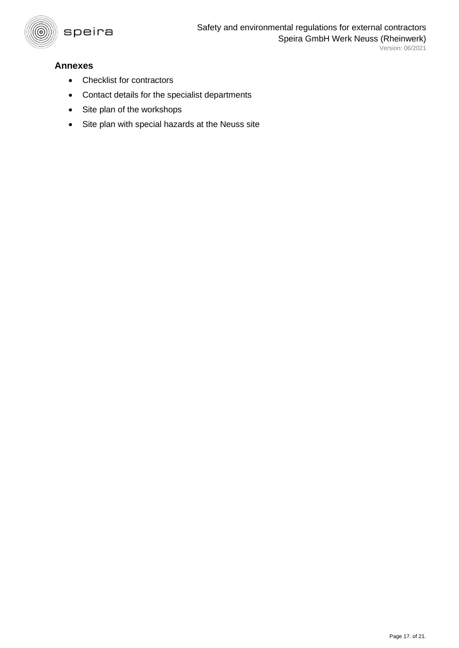

# <span id="page-16-0"></span>**Annexes**

- Checklist for contractors
- Contact details for the specialist departments
- Site plan of the workshops
- Site plan with special hazards at the Neuss site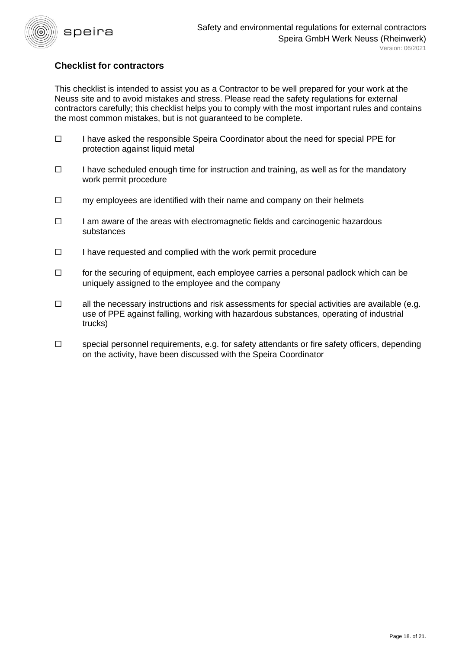

# **Checklist for contractors**

This checklist is intended to assist you as a Contractor to be well prepared for your work at the Neuss site and to avoid mistakes and stress. Please read the safety regulations for external contractors carefully; this checklist helps you to comply with the most important rules and contains the most common mistakes, but is not guaranteed to be complete.

- ☐ I have asked the responsible Speira Coordinator about the need for special PPE for protection against liquid metal
- $\Box$  I have scheduled enough time for instruction and training, as well as for the mandatory work permit procedure
- ☐ my employees are identified with their name and company on their helmets
- ☐ I am aware of the areas with electromagnetic fields and carcinogenic hazardous substances
- ☐ I have requested and complied with the work permit procedure
- $\Box$  for the securing of equipment, each employee carries a personal padlock which can be uniquely assigned to the employee and the company
- $\Box$  all the necessary instructions and risk assessments for special activities are available (e.g. use of PPE against falling, working with hazardous substances, operating of industrial trucks)
- ☐ special personnel requirements, e.g. for safety attendants or fire safety officers, depending on the activity, have been discussed with the Speira Coordinator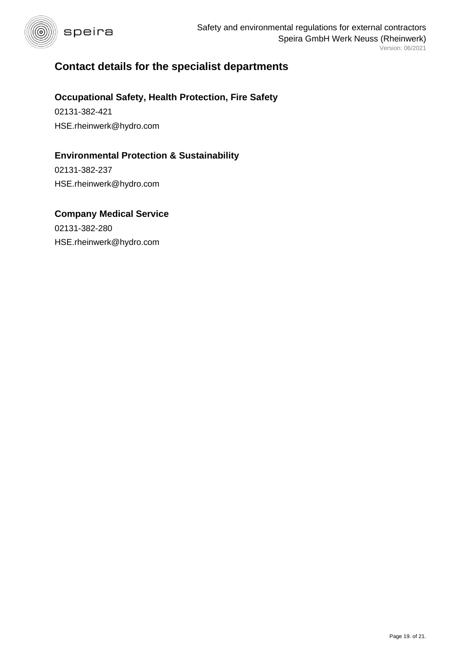

# **Contact details for the specialist departments**

# **Occupational Safety, Health Protection, Fire Safety**

02131-382-421 HSE.rheinwerk@hydro.com

# **Environmental Protection & Sustainability**

02131-382-237 HSE.rheinwerk@hydro.com

# **Company Medical Service**

02131-382-280 HSE.rheinwerk@hydro.com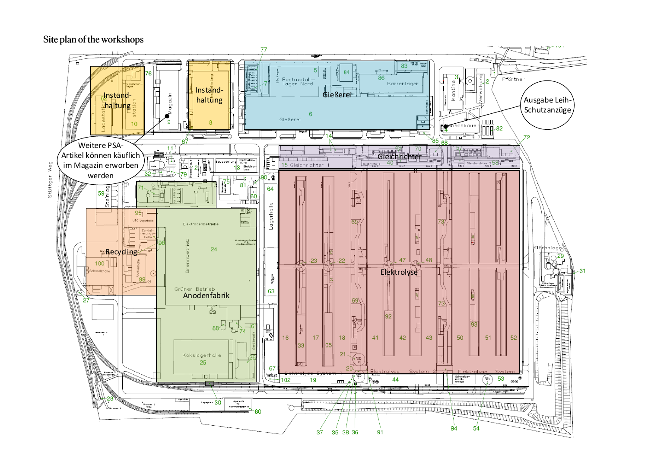## Site plan of the workshops



Stüttger